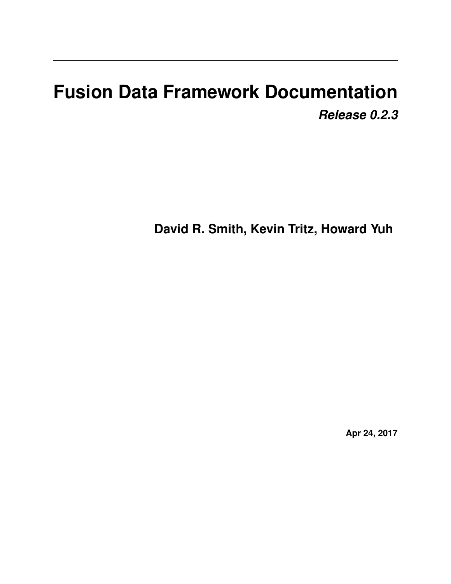# **Fusion Data Framework Documentation** *Release 0.2.3*

**David R. Smith, Kevin Tritz, Howard Yuh**

**Apr 24, 2017**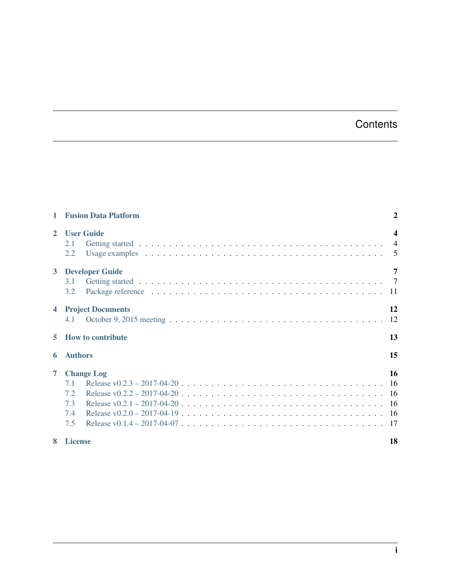# **Contents**

|                         | <b>Fusion Data Platform</b>                          | $\overline{2}$          |  |
|-------------------------|------------------------------------------------------|-------------------------|--|
| $\mathbf{2}$            | <b>User Guide</b><br>2.1<br>2.2                      | $\overline{\mathbf{4}}$ |  |
| $\mathbf{3}$            | <b>Developer Guide</b><br>3.1<br>3.2                 | 7                       |  |
| $\overline{\mathbf{4}}$ | <b>Project Documents</b><br>4.1                      | 12                      |  |
| 5                       | <b>How to contribute</b>                             | 13                      |  |
| 6                       | 15<br><b>Authors</b>                                 |                         |  |
| $\overline{7}$          | <b>Change Log</b><br>7.1<br>7.2<br>7.3<br>7.4<br>7.5 | 16                      |  |
|                         |                                                      |                         |  |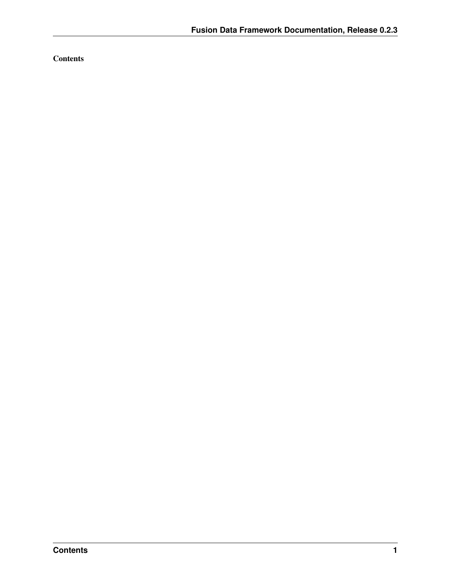**Contents**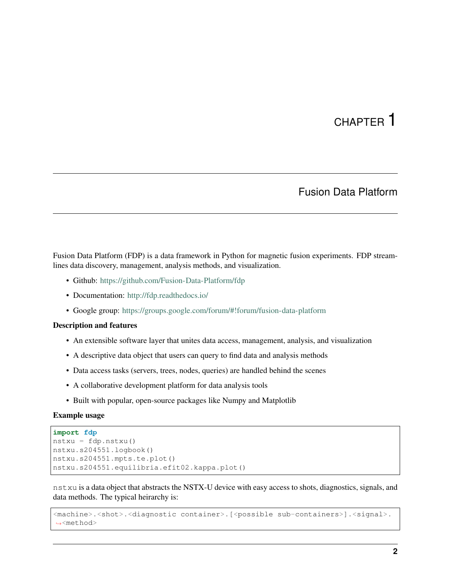# CHAPTER<sup>1</sup>

## Fusion Data Platform

<span id="page-3-0"></span>Fusion Data Platform (FDP) is a data framework in Python for magnetic fusion experiments. FDP streamlines data discovery, management, analysis methods, and visualization.

- Github: <https://github.com/Fusion-Data-Platform/fdp>
- Documentation: <http://fdp.readthedocs.io/>
- Google group: <https://groups.google.com/forum/#!forum/fusion-data-platform>

#### Description and features

- An extensible software layer that unites data access, management, analysis, and visualization
- A descriptive data object that users can query to find data and analysis methods
- Data access tasks (servers, trees, nodes, queries) are handled behind the scenes
- A collaborative development platform for data analysis tools
- Built with popular, open-source packages like Numpy and Matplotlib

### Example usage

```
import fdp
nstxu = fdp.nstxu()
nstxu.s204551.logbook()
nstxu.s204551.mpts.te.plot()
nstxu.s204551.equilibria.efit02.kappa.plot()
```
nstxu is a data object that abstracts the NSTX-U device with easy access to shots, diagnostics, signals, and data methods. The typical heirarchy is:

```
<machine>.<shot>.<diagnostic container>.[<possible sub-containers>].<signal>.
˓→<method>
```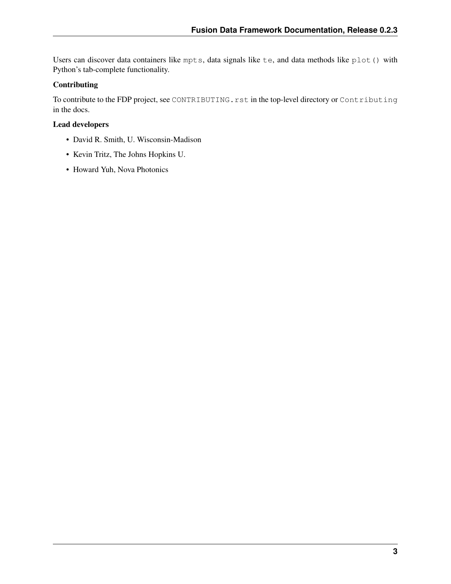Users can discover data containers like mpts, data signals like te, and data methods like plot() with Python's tab-complete functionality.

### Contributing

To contribute to the FDP project, see CONTRIBUTING.rst in the top-level directory or Contributing in the docs.

### Lead developers

- David R. Smith, U. Wisconsin-Madison
- Kevin Tritz, The Johns Hopkins U.
- Howard Yuh, Nova Photonics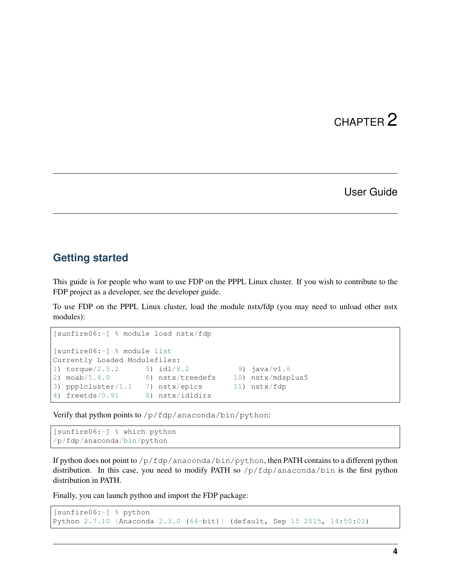### User Guide

### <span id="page-5-1"></span><span id="page-5-0"></span>**Getting started**

This guide is for people who want to use FDP on the PPPL Linux cluster. If you wish to contribute to the FDP project as a developer, see the developer guide.

To use FDP on the PPPL Linux cluster, load the module nstx/fdp (you may need to unload other nstx modules):

```
[sunfire06:~] % module load nstx/fdp
[sunfire06:~] % module list
Currently Loaded Modulefiles:
1) torque/2.5.2 5) idl/8.2 9) java/v1.6<br>2) moab/5.4.0 6) nstx/treedefs 10) nstx/mdsp
                      6) nstx/treedefs 10) nstx/mdsplus5
3) ppplcluster/1.1 7) nstx/epics 11) nstx/fdp
4) freetds/0.91 8) nstx/idldirs
```
Verify that python points to /p/fdp/anaconda/bin/python:

```
[sunfire06:~] % which python
/p/fdp/anaconda/bin/python
```
If python does not point to  $/p/fdp/anaconda/bin/python$ , then PATH contains to a different python distribution. In this case, you need to modify PATH so  $/p/fdp/anaconda/bin$  is the first python distribution in PATH.

Finally, you can launch python and import the FDP package:

```
[sunfire06:~] % python
Python 2.7.10 |Anaconda 2.3.0 (64-bit)| (default, Sep 15 2015, 14:50:01)
```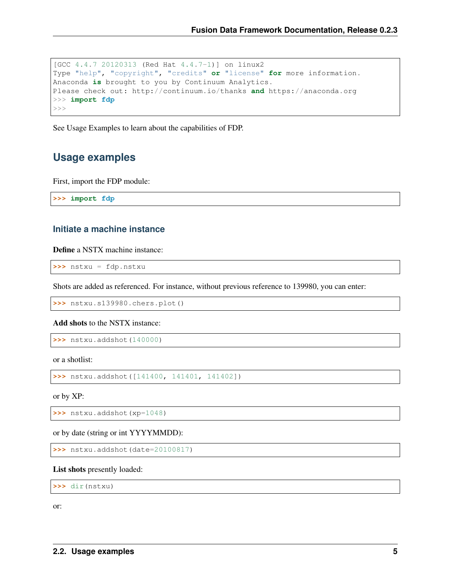```
[GCC 4.4.7 20120313 (Red Hat 4.4.7-1)] on linux2
Type "help", "copyright", "credits" or "license" for more information.
Anaconda is brought to you by Continuum Analytics.
Please check out: http://continuum.io/thanks and https://anaconda.org
>>> import fdp
>>
```
See Usage Examples to learn about the capabilities of FDP.

### <span id="page-6-0"></span>**Usage examples**

First, import the FDP module:

**>>> import fdp**

### **Initiate a machine instance**

Define a NSTX machine instance:

**>>>** nstxu = fdp.nstxu

Shots are added as referenced. For instance, without previous reference to 139980, you can enter:

**>>>** nstxu.s139980.chers.plot()

Add shots to the NSTX instance:

```
>>> nstxu.addshot(140000)
```
or a shotlist:

```
>>> nstxu.addshot([141400, 141401, 141402])
```
or by XP:

**>>>** nstxu.addshot(xp=1048)

or by date (string or int YYYYMMDD):

**>>>** nstxu.addshot(date=20100817)

#### List shots presently loaded:

**>>>** dir(nstxu)

or: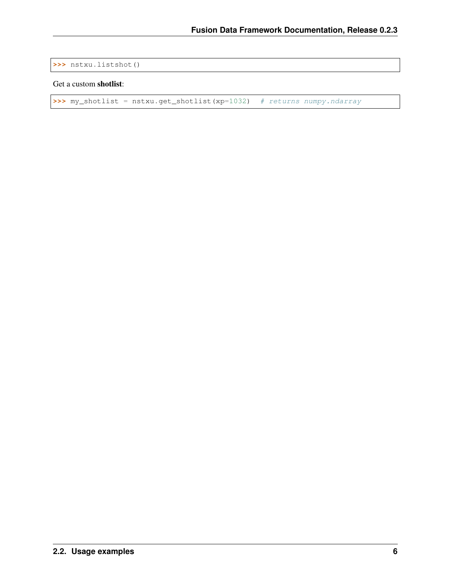```
>>> nstxu.listshot()
```
### Get a custom shotlist:

```
>>> my_shotlist = nstxu.get_shotlist(xp=1032) # returns numpy.ndarray
```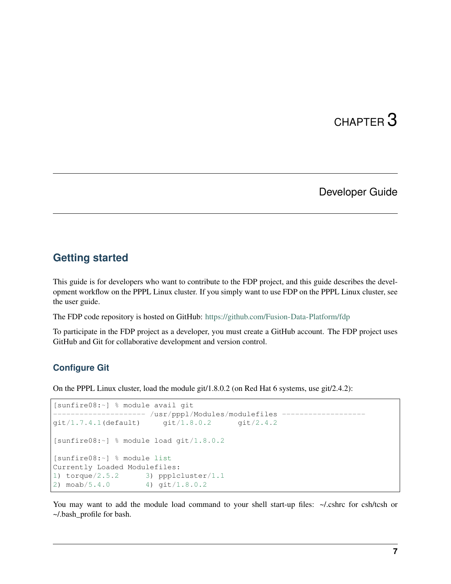## Developer Guide

## <span id="page-8-1"></span><span id="page-8-0"></span>**Getting started**

This guide is for developers who want to contribute to the FDP project, and this guide describes the development workflow on the PPPL Linux cluster. If you simply want to use FDP on the PPPL Linux cluster, see the user guide.

The FDP code repository is hosted on GitHub: <https://github.com/Fusion-Data-Platform/fdp>

To participate in the FDP project as a developer, you must create a GitHub account. The FDP project uses GitHub and Git for collaborative development and version control.

### **Configure Git**

On the PPPL Linux cluster, load the module git/1.8.0.2 (on Red Hat 6 systems, use git/2.4.2):

```
[sunfire08:~] % module avail git
     ---------------- /usr/pppl/Modules/modulefiles -
git/1.7.4.1(default) git/1.8.0.2 git/2.4.2
[sunfire08:~] % module load git/1.8.0.2
[sunfire08:~] % module list
Currently Loaded Modulefiles:
1) torque/2.5.2 3) ppplcluster/1.1
2) moab/5.4.0 4) git/1.8.0.2
```
You may want to add the module load command to your shell start-up files:  $\sim$ /.cshrc for csh/tcsh or ~/.bash\_profile for bash.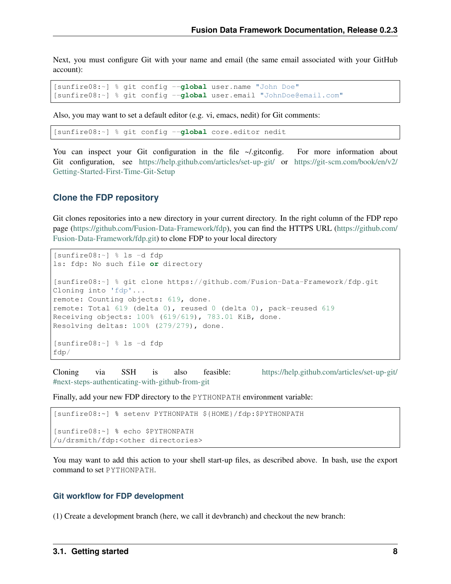Next, you must configure Git with your name and email (the same email associated with your GitHub account):

```
[sunfire08:~] % git config --global user.name "John Doe"
[sunfire08:~] % git config --global user.email "JohnDoe@email.com"
```
Also, you may want to set a default editor (e.g. vi, emacs, nedit) for Git comments:

[sunfire08:~] % git config --**global** core.editor nedit

You can inspect your Git configuration in the file  $\sim$ /.gitconfig. For more information about Git configuration, see <https://help.github.com/articles/set-up-git/> or [https://git-scm.com/book/en/v2/](https://git-scm.com/book/en/v2/Getting-Started-First-Time-Git-Setup) [Getting-Started-First-Time-Git-Setup](https://git-scm.com/book/en/v2/Getting-Started-First-Time-Git-Setup)

### **Clone the FDP repository**

Git clones repositories into a new directory in your current directory. In the right column of the FDP repo page [\(https://github.com/Fusion-Data-Framework/fdp\)](https://github.com/Fusion-Data-Framework/fdp), you can find the HTTPS URL [\(https://github.com/](https://github.com/Fusion-Data-Framework/fdp.git) [Fusion-Data-Framework/fdp.git\)](https://github.com/Fusion-Data-Framework/fdp.git) to clone FDP to your local directory

```
[sunfire08:~] % ls -d fdp
ls: fdp: No such file or directory
[sunfire08:~] % git clone https://github.com/Fusion-Data-Framework/fdp.git
Cloning into 'fdp'...
remote: Counting objects: 619, done.
remote: Total 619 (delta 0), reused 0 (delta 0), pack-reused 619
Receiving objects: 100% (619/619), 783.01 KiB, done.
Resolving deltas: 100% (279/279), done.
[sunfire08:~] % ls -d fdp
fdp/
```
Cloning via SSH is also feasible: [https://help.github.com/articles/set-up-git/](https://help.github.com/articles/set-up-git/#next-steps-authenticating-with-github-from-git) [#next-steps-authenticating-with-github-from-git](https://help.github.com/articles/set-up-git/#next-steps-authenticating-with-github-from-git)

Finally, add your new FDP directory to the PYTHONPATH environment variable:

```
[sunfire08:~] % setenv PYTHONPATH ${HOME}/fdp:$PYTHONPATH
[sunfire08:~] % echo $PYTHONPATH
/u/drsmith/fdp:<other directories>
```
You may want to add this action to your shell start-up files, as described above. In bash, use the export command to set PYTHONPATH.

### **Git workflow for FDP development**

(1) Create a development branch (here, we call it devbranch) and checkout the new branch: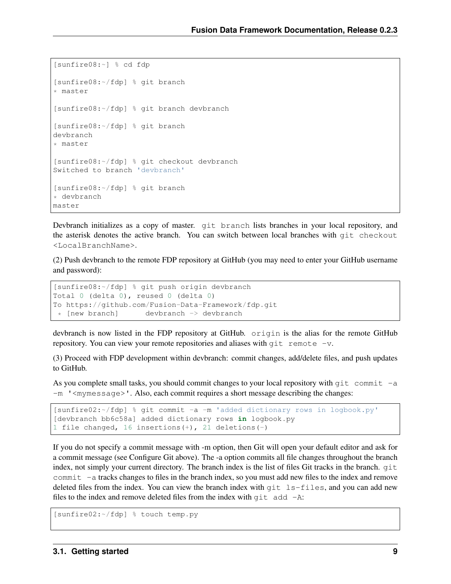```
[sunfire08:~] % cd fdp
[sunfire08:~/fdp] % git branch
* master
[sunfire08:~/fdp] % git branch devbranch
[sunfire08:~/fdp] % git branch
devbranch
* master
[sunfire08:~/fdp] % git checkout devbranch
Switched to branch 'devbranch'
[sunfire08:~/fdp] % git branch
* devbranch
master
```
Devbranch initializes as a copy of master. git branch lists branches in your local repository, and the asterisk denotes the active branch. You can switch between local branches with git checkout <LocalBranchName>.

(2) Push devbranch to the remote FDP repository at GitHub (you may need to enter your GitHub username and password):

```
[sunfire08:~/fdp] % git push origin devbranch
Total 0 (delta 0), reused 0 (delta 0)
To https://github.com/Fusion-Data-Framework/fdp.git
* [new branch] devbranch -> devbranch
```
devbranch is now listed in the FDP repository at GitHub. origin is the alias for the remote GitHub repository. You can view your remote repositories and aliases with  $q$ it remote -v.

(3) Proceed with FDP development within devbranch: commit changes, add/delete files, and push updates to GitHub.

As you complete small tasks, you should commit changes to your local repository with  $\sigma$  it commit -a  $-m$  '  $\langle$  mymessage $\rangle$ '. Also, each commit requires a short message describing the changes:

```
[sunfire02:~/fdp] % git commit -a -m 'added dictionary rows in logbook.py'
[devbranch bb6c58a] added dictionary rows in logbook.py
1 file changed, 16 insertions(+), 21 deletions(-)
```
If you do not specify a commit message with -m option, then Git will open your default editor and ask for a commit message (see Configure Git above). The -a option commits all file changes throughout the branch index, not simply your current directory. The branch index is the list of files Git tracks in the branch. git commit -a tracks changes to files in the branch index, so you must add new files to the index and remove deleted files from the index. You can view the branch index with  $q$ it  $ls$ -files, and you can add new files to the index and remove deleted files from the index with  $q$ it add  $-A$ :

[sunfire02:~/fdp] % touch temp.py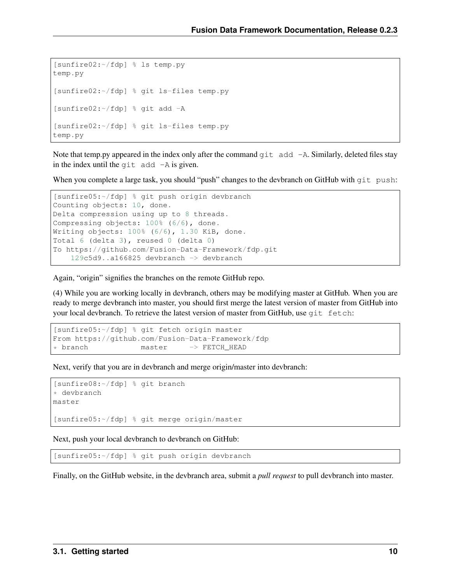```
[sunfire02:~/fdp] % ls temp.py
temp.py
[sunfire02:~/fdp] % git ls-files temp.py
[sunfire02:~/fdp] % git add -A
[sunfire02:~/fdp] % git ls-files temp.py
temp.py
```
Note that temp.py appeared in the index only after the command  $q\text{it}$  add  $-A$ . Similarly, deleted files stay in the index until the  $q$ it add  $-A$  is given.

When you complete a large task, you should "push" changes to the devbranch on GitHub with git push:

```
[sunfire05:~/fdp] % git push origin devbranch
Counting objects: 10, done.
Delta compression using up to 8 threads.
Compressing objects: 100% (6/6), done.
Writing objects: 100% (6/6), 1.30 KiB, done.
Total 6 (delta 3), reused 0 (delta 0)
To https://github.com/Fusion-Data-Framework/fdp.git
    129c5d9..a166825 devbranch -> devbranch
```
Again, "origin" signifies the branches on the remote GitHub repo.

(4) While you are working locally in devbranch, others may be modifying master at GitHub. When you are ready to merge devbranch into master, you should first merge the latest version of master from GitHub into your local devbranch. To retrieve the latest version of master from GitHub, use git fetch:

```
[sunfire05:~/fdp] % git fetch origin master
From https://github.com/Fusion-Data-Framework/fdp
* branch master -> FETCH HEAD
```
Next, verify that you are in devbranch and merge origin/master into devbranch:

```
[sunfire08:~/fdp] % git branch
* devbranch
master
[sunfire05:~/fdp] % git merge origin/master
```
Next, push your local devbranch to devbranch on GitHub:

[sunfire05:~/fdp] % git push origin devbranch

Finally, on the GitHub website, in the devbranch area, submit a *pull request* to pull devbranch into master.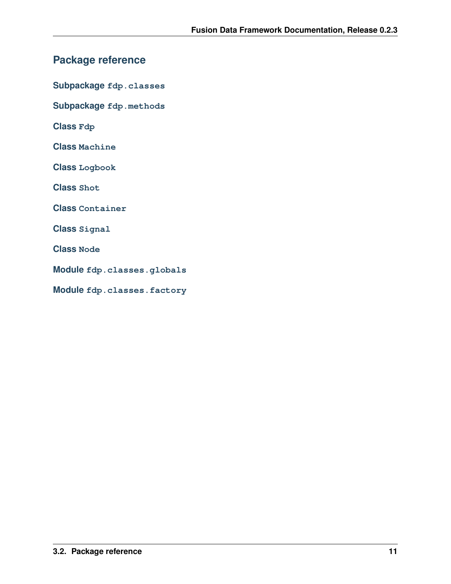# <span id="page-12-0"></span>**Package reference**

**Subpackage fdp.classes**

**Subpackage fdp.methods**

**Class Fdp**

**Class Machine**

**Class Logbook**

**Class Shot**

**Class Container**

**Class Signal**

**Class Node**

**Module fdp.classes.globals**

**Module fdp.classes.factory**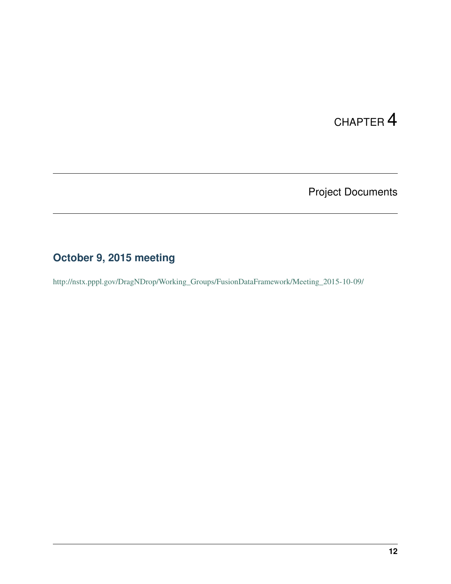# Project Documents

# <span id="page-13-1"></span><span id="page-13-0"></span>**October 9, 2015 meeting**

[http://nstx.pppl.gov/DragNDrop/Working\\_Groups/FusionDataFramework/Meeting\\_2015-10-09/](http://nstx.pppl.gov/DragNDrop/Working_Groups/FusionDataFramework/Meeting_2015-10-09/)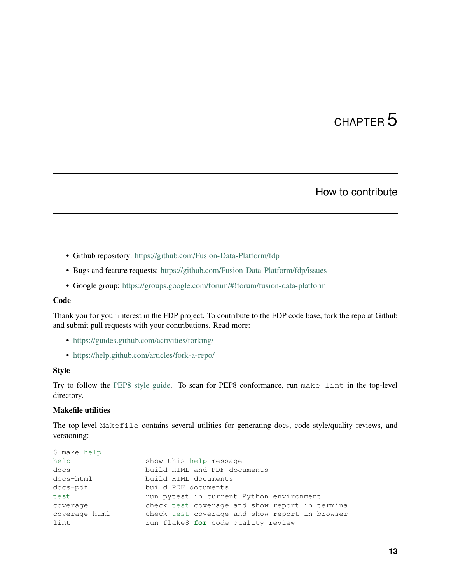## How to contribute

- <span id="page-14-0"></span>• Github repository: <https://github.com/Fusion-Data-Platform/fdp>
- Bugs and feature requests: <https://github.com/Fusion-Data-Platform/fdp/issues>
- Google group: <https://groups.google.com/forum/#!forum/fusion-data-platform>

### Code

Thank you for your interest in the FDP project. To contribute to the FDP code base, fork the repo at Github and submit pull requests with your contributions. Read more:

- <https://guides.github.com/activities/forking/>
- <https://help.github.com/articles/fork-a-repo/>

### Style

Try to follow the [PEP8 style guide.](https://www.python.org/dev/peps/pep-0008/) To scan for PEP8 conformance, run make lint in the top-level directory.

### Makefile utilities

The top-level Makefile contains several utilities for generating docs, code style/quality reviews, and versioning:

| \$ make help  |                                                 |
|---------------|-------------------------------------------------|
| help          | show this help message                          |
| docs          | build HTML and PDF documents                    |
| docs-html     | build HTML documents                            |
| docs-pdf      | build PDF documents                             |
| test          | run pytest in current Python environment        |
| coverage      | check test coverage and show report in terminal |
| coverage-html | check test coverage and show report in browser  |
| lint          | run flake8 for code quality review              |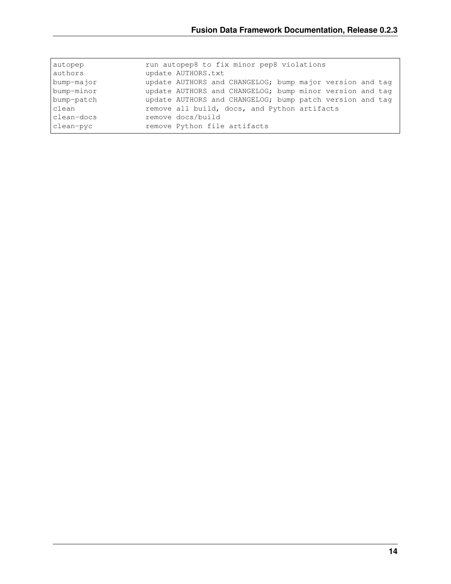| autopep    | run autopep8 to fix minor pep8 violations                |
|------------|----------------------------------------------------------|
| authors    | update AUTHORS.txt                                       |
| bump-major | update AUTHORS and CHANGELOG; bump major version and tag |
| bump-minor | update AUTHORS and CHANGELOG; bump minor version and tag |
| bump-patch | update AUTHORS and CHANGELOG; bump patch version and tag |
| clean      | remove all build, docs, and Python artifacts             |
| clean-docs | remove docs/build                                        |
| clean-pyc  | remove Python file artifacts                             |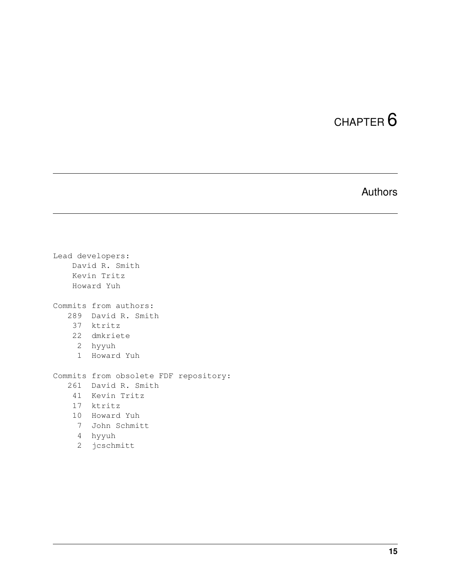# Authors

<span id="page-16-0"></span>Lead developers: David R. Smith Kevin Tritz Howard Yuh Commits from authors: 289 David R. Smith 37 ktritz 22 dmkriete 2 hyyuh 1 Howard Yuh Commits from obsolete FDF repository: 261 David R. Smith 41 Kevin Tritz 17 ktritz 10 Howard Yuh 7 John Schmitt 4 hyyuh 2 jcschmitt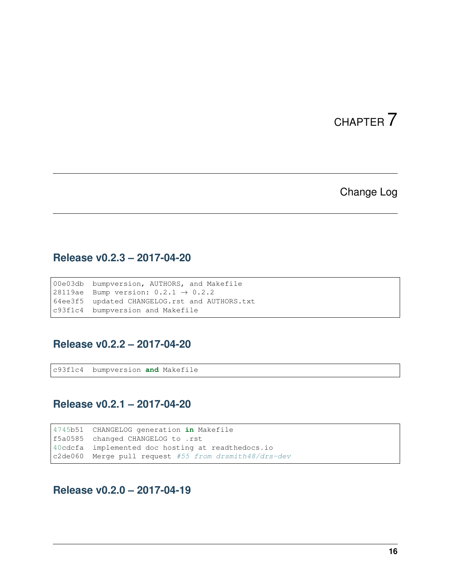## Change Log

# <span id="page-17-1"></span><span id="page-17-0"></span>**Release v0.2.3 – 2017-04-20**

00e03db bumpversion, AUTHORS, and Makefile 28119ae Bump version:  $0.2.1 \rightarrow 0.2.2$ 64ee3f5 updated CHANGELOG.rst and AUTHORS.txt c93f1c4 bumpversion and Makefile

## <span id="page-17-2"></span>**Release v0.2.2 – 2017-04-20**

c93f1c4 bumpversion **and** Makefile

## <span id="page-17-3"></span>**Release v0.2.1 – 2017-04-20**

4745b51 CHANGELOG generation **in** Makefile f5a0585 changed CHANGELOG to .rst 40cdcfa implemented doc hosting at readthedocs.io c2de060 Merge pull request #55 from drsmith48/drs-dev

<span id="page-17-4"></span>**Release v0.2.0 – 2017-04-19**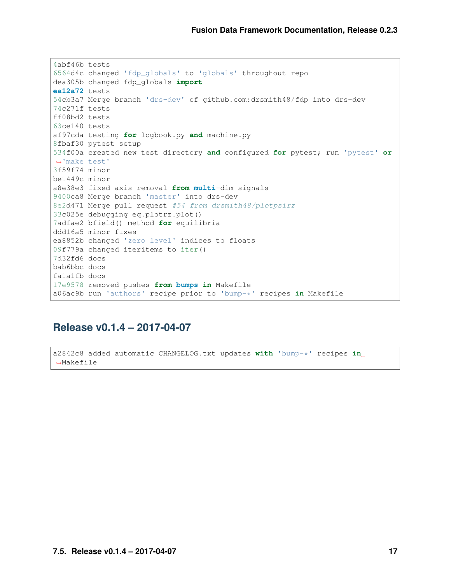```
4abf46b tests
6564d4c changed 'fdp_globals' to 'globals' throughout repo
dea305b changed fdp_globals import
ea12a72 tests
54cb3a7 Merge branch 'drs-dev' of github.com:drsmith48/fdp into drs-dev
74c271f tests
ff08bd2 tests
63ce140 tests
af97cda testing for logbook.py and machine.py
8fbaf30 pytest setup
534f00a created new test directory and configured for pytest; run 'pytest' or
˓→'make test'
3f59f74 minor
be1449c minor
a8e38e3 fixed axis removal from multi-dim signals
9400ca8 Merge branch 'master' into drs-dev
8e2d471 Merge pull request #54 from drsmith48/plotpsirz
33c025e debugging eq.plotrz.plot()
7adfae2 bfield() method for equilibria
ddd16a5 minor fixes
ea8852b changed 'zero level' indices to floats
09f779a changed iteritems to iter()
7d32fd6 docs
bab6bbc docs
fa1a1fb docs
17e9578 removed pushes from bumps in Makefile
a06ac9b run 'authors' recipe prior to 'bump-*' recipes in Makefile
```
## <span id="page-18-0"></span>**Release v0.1.4 – 2017-04-07**

```
a2842c8 added automatic CHANGELOG.txt updates with 'bump-*' recipes in
˓→Makefile
```